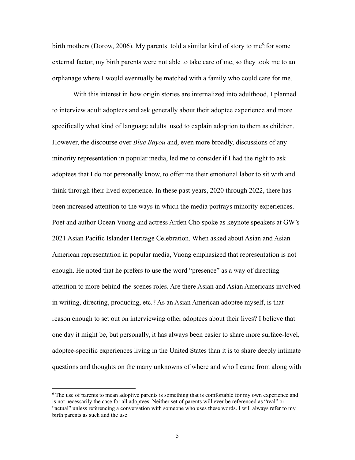birth mothers (Dorow, 2006). My parents told a similar kind of story to me<sup>6</sup>: for some external factor, my birth parents were not able to take care of me, so they took me to an orphanage where I would eventually be matched with a family who could care for me.

With this interest in how origin stories are internalized into adulthood, I planned to interview adult adoptees and ask generally about their adoptee experience and more specifically what kind of language adults used to explain adoption to them as children. However, the discourse over *Blue Bayou* and, even more broadly, discussions of any minority representation in popular media, led me to consider if I had the right to ask adoptees that I do not personally know, to offer me their emotional labor to sit with and think through their lived experience. In these past years, 2020 through 2022, there has been increased attention to the ways in which the media portrays minority experiences. Poet and author Ocean Vuong and actress Arden Cho spoke as keynote speakers at GW's 2021 Asian Pacific Islander Heritage Celebration. When asked about Asian and Asian American representation in popular media, Vuong emphasized that representation is not enough. He noted that he prefers to use the word "presence" as a way of directing attention to more behind-the-scenes roles. Are there Asian and Asian Americans involved in writing, directing, producing, etc.? As an Asian American adoptee myself, is that reason enough to set out on interviewing other adoptees about their lives? I believe that one day it might be, but personally, it has always been easier to share more surface-level, adoptee-specific experiences living in the United States than it is to share deeply intimate questions and thoughts on the many unknowns of where and who I came from along with

 <sup>6</sup> The use of parents to mean adoptive parents is something that is comfortable for my own experience and is not necessarily the case for all adoptees. Neither set of parents will ever be referenced as "real" or "actual" unless referencing a conversation with someone who uses these words. I will always refer to my birth parents as such and the use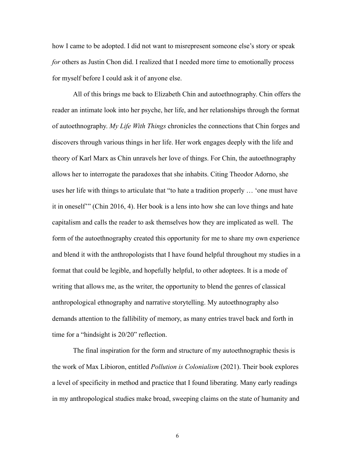how I came to be adopted. I did not want to misrepresent someone else's story or speak *for* others as Justin Chon did. I realized that I needed more time to emotionally process for myself before I could ask it of anyone else.

All of this brings me back to Elizabeth Chin and autoethnography. Chin offers the reader an intimate look into her psyche, her life, and her relationships through the format of autoethnography. *My Life With Things* chronicles the connections that Chin forges and discovers through various things in her life. Her work engages deeply with the life and theory of Karl Marx as Chin unravels her love of things. For Chin, the autoethnography allows her to interrogate the paradoxes that she inhabits. Citing Theodor Adorno, she uses her life with things to articulate that "to hate a tradition properly … 'one must have it in oneself'" (Chin 2016, 4). Her book is a lens into how she can love things and hate capitalism and calls the reader to ask themselves how they are implicated as well. The form of the autoethnography created this opportunity for me to share my own experience and blend it with the anthropologists that I have found helpful throughout my studies in a format that could be legible, and hopefully helpful, to other adoptees. It is a mode of writing that allows me, as the writer, the opportunity to blend the genres of classical anthropological ethnography and narrative storytelling. My autoethnography also demands attention to the fallibility of memory, as many entries travel back and forth in time for a "hindsight is 20/20" reflection.

The final inspiration for the form and structure of my autoethnographic thesis is the work of Max Libioron, entitled *Pollution is Colonialism* (2021). Their book explores a level of specificity in method and practice that I found liberating. Many early readings in my anthropological studies make broad, sweeping claims on the state of humanity and

6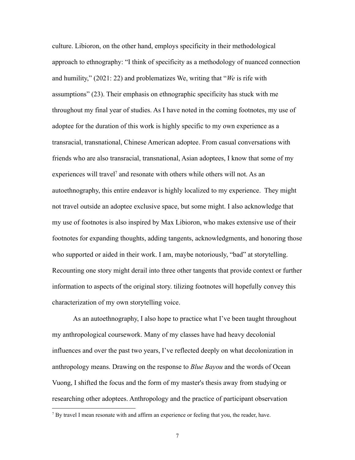culture. Libioron, on the other hand, employs specificity in their methodological approach to ethnography: "I think of specificity as a methodology of nuanced connection and humility," (2021: 22) and problematizes We, writing that "*We* is rife with assumptions" (23). Their emphasis on ethnographic specificity has stuck with me throughout my final year of studies. As I have noted in the coming footnotes, my use of adoptee for the duration of this work is highly specific to my own experience as a transracial, transnational, Chinese American adoptee. From casual conversations with friends who are also transracial, transnational, Asian adoptees, I know that some of my experiences will travel<sup>7</sup> and resonate with others while others will not. As an autoethnography, this entire endeavor is highly localized to my experience. They might not travel outside an adoptee exclusive space, but some might. I also acknowledge that my use of footnotes is also inspired by Max Libioron, who makes extensive use of their footnotes for expanding thoughts, adding tangents, acknowledgments, and honoring those who supported or aided in their work. I am, maybe notoriously, "bad" at storytelling. Recounting one story might derail into three other tangents that provide context or further information to aspects of the original story. tilizing footnotes will hopefully convey this characterization of my own storytelling voice.

As an autoethnography, I also hope to practice what I've been taught throughout my anthropological coursework. Many of my classes have had heavy decolonial influences and over the past two years, I've reflected deeply on what decolonization in anthropology means. Drawing on the response to *Blue Bayou* and the words of Ocean Vuong, I shifted the focus and the form of my master's thesis away from studying or researching other adoptees. Anthropology and the practice of participant observation

 $7$  By travel I mean resonate with and affirm an experience or feeling that you, the reader, have.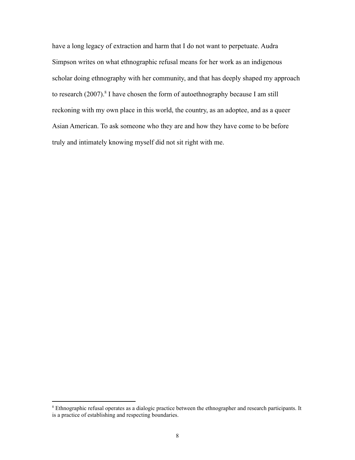have a long legacy of extraction and harm that I do not want to perpetuate. Audra Simpson writes on what ethnographic refusal means for her work as an indigenous scholar doing ethnography with her community, and that has deeply shaped my approach to research (2007).<sup>8</sup> I have chosen the form of autoethnography because I am still reckoning with my own place in this world, the country, as an adoptee, and as a queer Asian American. To ask someone who they are and how they have come to be before truly and intimately knowing myself did not sit right with me.

<sup>&</sup>lt;sup>8</sup> Ethnographic refusal operates as a dialogic practice between the ethnographer and research participants. It is a practice of establishing and respecting boundaries.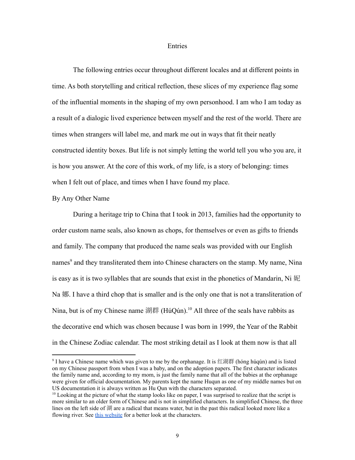## **Entries**

The following entries occur throughout different locales and at different points in time. As both storytelling and critical reflection, these slices of my experience flag some of the influential moments in the shaping of my own personhood. I am who I am today as a result of a dialogic lived experience between myself and the rest of the world. There are times when strangers will label me, and mark me out in ways that fit their neatly constructed identity boxes. But life is not simply letting the world tell you who you are, it is how you answer. At the core of this work, of my life, is a story of belonging: times when I felt out of place, and times when I have found my place.

## By Any Other Name

During a heritage trip to China that I took in 2013, families had the opportunity to order custom name seals, also known as chops, for themselves or even as gifts to friends and family. The company that produced the name seals was provided with our English names<sup>9</sup> and they transliterated them into Chinese characters on the stamp. My name, Nina is easy as it is two syllables that are sounds that exist in the phonetics of Mandarin, Ni 妮 Na 娜. I have a third chop that is smaller and is the only one that is not a transliteration of Nina, but is of my Chinese name 湖群 (HúQún).<sup>10</sup> All three of the seals have rabbits as the decorative end which was chosen because I was born in 1999, the Year of the Rabbit in the Chinese Zodiac calendar. The most striking detail as I look at them now is that all

<sup>&</sup>lt;sup>9</sup> I have a Chinese name which was given to me by the orphanage. It is 红湖群 (hóng húqún) and is listed on my Chinese passport from when I was a baby, and on the adoption papers. The first character indicates the family name and, according to my mom, is just the family name that all of the babies at the orphanage were given for official documentation. My parents kept the name Huqun as one of my middle names but on US documentation it is always written as Hu Qun with the characters separated.

<sup>&</sup>lt;sup>10</sup> Looking at the picture of what the stamp looks like on paper, I was surprised to realize that the script is more similar to an older form of Chinese and is not in simplified characters. In simplified Chinese, the three lines on the left side of 湖 are a radical that means water, but in the past this radical looked more like a flowing river. See this [website](https://www.chinasage.info/chars/fch_shui_water.htm) for a better look at the characters.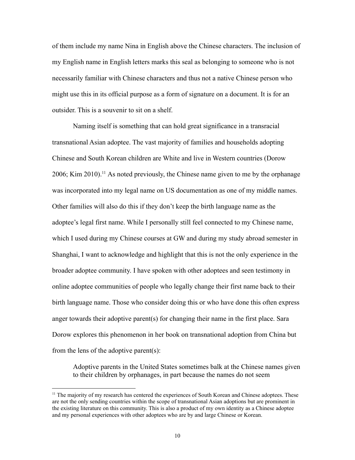of them include my name Nina in English above the Chinese characters. The inclusion of my English name in English letters marks this seal as belonging to someone who is not necessarily familiar with Chinese characters and thus not a native Chinese person who might use this in its official purpose as a form of signature on a document. It is for an outsider. This is a souvenir to sit on a shelf.

Naming itself is something that can hold great significance in a transracial transnational Asian adoptee. The vast majority of families and households adopting Chinese and South Korean children are White and live in Western countries (Dorow 2006; Kim 2010).<sup>11</sup> As noted previously, the Chinese name given to me by the orphanage was incorporated into my legal name on US documentation as one of my middle names. Other families will also do this if they don't keep the birth language name as the adoptee's legal first name. While I personally still feel connected to my Chinese name, which I used during my Chinese courses at GW and during my study abroad semester in Shanghai, I want to acknowledge and highlight that this is not the only experience in the broader adoptee community. I have spoken with other adoptees and seen testimony in online adoptee communities of people who legally change their first name back to their birth language name. Those who consider doing this or who have done this often express anger towards their adoptive parent(s) for changing their name in the first place. Sara Dorow explores this phenomenon in her book on transnational adoption from China but from the lens of the adoptive parent(s):

Adoptive parents in the United States sometimes balk at the Chinese names given to their children by orphanages, in part because the names do not seem

<sup>&</sup>lt;sup>11</sup> The majority of my research has centered the experiences of South Korean and Chinese adoptees. These are not the only sending countries within the scope of transnational Asian adoptions but are prominent in the existing literature on this community. This is also a product of my own identity as a Chinese adoptee and my personal experiences with other adoptees who are by and large Chinese or Korean.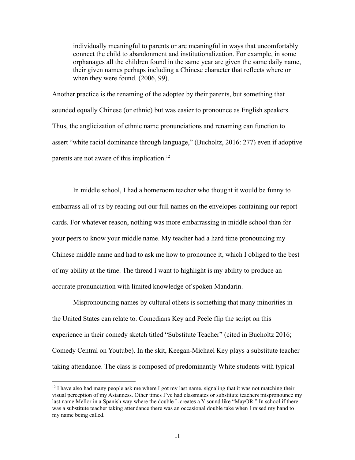individually meaningful to parents or are meaningful in ways that uncomfortably connect the child to abandonment and institutionalization. For example, in some orphanages all the children found in the same year are given the same daily name, their given names perhaps including a Chinese character that reflects where or when they were found. (2006, 99).

Another practice is the renaming of the adoptee by their parents, but something that sounded equally Chinese (or ethnic) but was easier to pronounce as English speakers. Thus, the anglicization of ethnic name pronunciations and renaming can function to assert "white racial dominance through language," (Bucholtz, 2016: 277) even if adoptive parents are not aware of this implication.<sup>12</sup>

In middle school, I had a homeroom teacher who thought it would be funny to embarrass all of us by reading out our full names on the envelopes containing our report cards. For whatever reason, nothing was more embarrassing in middle school than for your peers to know your middle name. My teacher had a hard time pronouncing my Chinese middle name and had to ask me how to pronounce it, which I obliged to the best of my ability at the time. The thread I want to highlight is my ability to produce an accurate pronunciation with limited knowledge of spoken Mandarin.

Mispronouncing names by cultural others is something that many minorities in the United States can relate to. Comedians Key and Peele flip the script on this experience in their comedy sketch titled "Substitute Teacher" (cited in Bucholtz 2016; Comedy Central on Youtube). In the skit, Keegan-Michael Key plays a substitute teacher taking attendance. The class is composed of predominantly White students with typical

 $12$  I have also had many people ask me where I got my last name, signaling that it was not matching their visual perception of my Asianness. Other times I've had classmates or substitute teachers mispronounce my last name Mellor in a Spanish way where the double L creates a Y sound like "MayOR." In school if there was a substitute teacher taking attendance there was an occasional double take when I raised my hand to my name being called.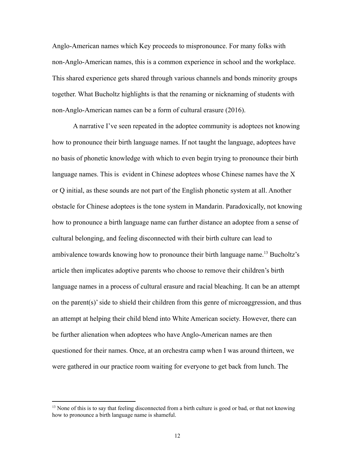Anglo-American names which Key proceeds to mispronounce. For many folks with non-Anglo-American names, this is a common experience in school and the workplace. This shared experience gets shared through various channels and bonds minority groups together. What Bucholtz highlights is that the renaming or nicknaming of students with non-Anglo-American names can be a form of cultural erasure (2016).

A narrative I've seen repeated in the adoptee community is adoptees not knowing how to pronounce their birth language names. If not taught the language, adoptees have no basis of phonetic knowledge with which to even begin trying to pronounce their birth language names. This is evident in Chinese adoptees whose Chinese names have the X or Q initial, as these sounds are not part of the English phonetic system at all. Another obstacle for Chinese adoptees is the tone system in Mandarin. Paradoxically, not knowing how to pronounce a birth language name can further distance an adoptee from a sense of cultural belonging, and feeling disconnected with their birth culture can lead to ambivalence towards knowing how to pronounce their birth language name.<sup>13</sup> Bucholtz's article then implicates adoptive parents who choose to remove their children's birth language names in a process of cultural erasure and racial bleaching. It can be an attempt on the parent(s)' side to shield their children from this genre of microaggression, and thus an attempt at helping their child blend into White American society. However, there can be further alienation when adoptees who have Anglo-American names are then questioned for their names. Once, at an orchestra camp when I was around thirteen, we were gathered in our practice room waiting for everyone to get back from lunch. The

<sup>&</sup>lt;sup>13</sup> None of this is to say that feeling disconnected from a birth culture is good or bad, or that not knowing how to pronounce a birth language name is shameful.